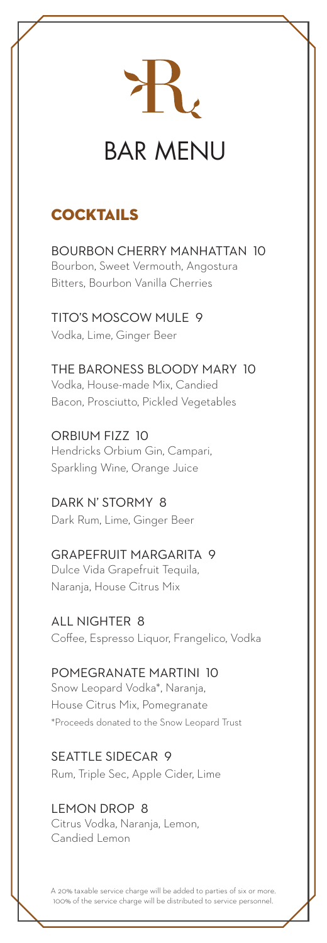

# BAR MENU

# **COCKTAILS**

BOURBON CHERRY MANHATTAN 10 Bourbon, Sweet Vermouth, Angostura Bitters, Bourbon Vanilla Cherries

TITO'S MOSCOW MULE 9 Vodka, Lime, Ginger Beer

THE BARONESS BLOODY MARY 10 Vodka, House-made Mix, Candied Bacon, Prosciutto, Pickled Vegetables

ORBIUM FIZZ 10 Hendricks Orbium Gin, Campari, Sparkling Wine, Orange Juice

DARK N' STORMY 8 Dark Rum, Lime, Ginger Beer

GRAPEFRUIT MARGARITA 9 Dulce Vida Grapefruit Tequila, Naranja, House Citrus Mix

ALL NIGHTER 8 Coffee, Espresso Liquor, Frangelico, Vodka

POMEGRANATE MARTINI 10 Snow Leopard Vodka\*, Naranja, House Citrus Mix, Pomegranate \*Proceeds donated to the Snow Leopard Trust

SEATTLE SIDECAR 9 Rum, Triple Sec, Apple Cider, Lime

LEMON DROP 8 Citrus Vodka, Naranja, Lemon, Candied Lemon

A 20% taxable service charge will be added to parties of six or more. 100% of the service charge will be distributed to service personnel.